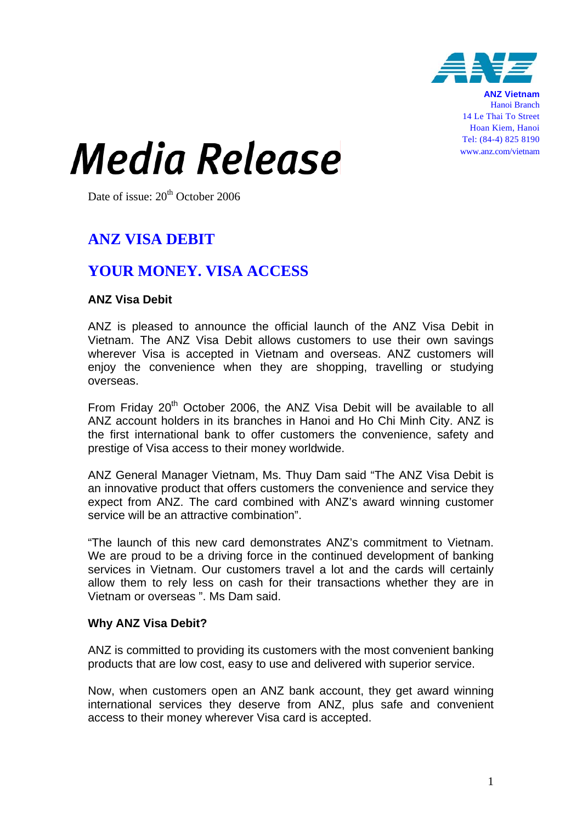

**ANZ Vietnam** Hanoi Branch 14 Le Thai To Street Hoan Kiem, Hanoi Tel: (84-4) 825 8190 www.anz.com/vietnam

# *Media Release*

Date of issue:  $20<sup>th</sup>$  October 2006

# **ANZ VISA DEBIT**

## **YOUR MONEY. VISA ACCESS**

### **ANZ Visa Debit**

ANZ is pleased to announce the official launch of the ANZ Visa Debit in Vietnam. The ANZ Visa Debit allows customers to use their own savings wherever Visa is accepted in Vietnam and overseas. ANZ customers will enjoy the convenience when they are shopping, travelling or studying overseas.

From Friday 20<sup>th</sup> October 2006, the ANZ Visa Debit will be available to all ANZ account holders in its branches in Hanoi and Ho Chi Minh City. ANZ is the first international bank to offer customers the convenience, safety and prestige of Visa access to their money worldwide.

ANZ General Manager Vietnam, Ms. Thuy Dam said "The ANZ Visa Debit is an innovative product that offers customers the convenience and service they expect from ANZ. The card combined with ANZ's award winning customer service will be an attractive combination".

"The launch of this new card demonstrates ANZ's commitment to Vietnam. We are proud to be a driving force in the continued development of banking services in Vietnam. Our customers travel a lot and the cards will certainly allow them to rely less on cash for their transactions whether they are in Vietnam or overseas ". Ms Dam said.

#### **Why ANZ Visa Debit?**

ANZ is committed to providing its customers with the most convenient banking products that are low cost, easy to use and delivered with superior service.

Now, when customers open an ANZ bank account, they get award winning international services they deserve from ANZ, plus safe and convenient access to their money wherever Visa card is accepted.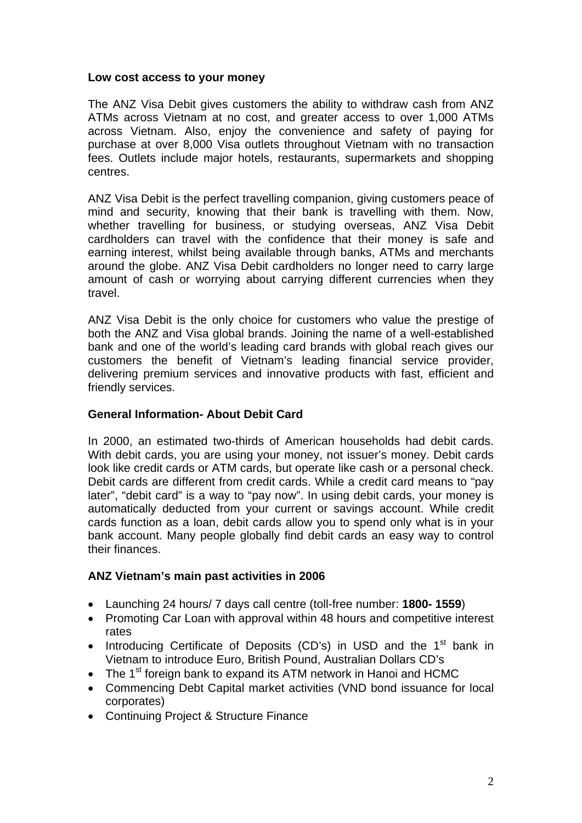#### **Low cost access to your money**

The ANZ Visa Debit gives customers the ability to withdraw cash from ANZ ATMs across Vietnam at no cost, and greater access to over 1,000 ATMs across Vietnam. Also, enjoy the convenience and safety of paying for purchase at over 8,000 Visa outlets throughout Vietnam with no transaction fees. Outlets include major hotels, restaurants, supermarkets and shopping centres.

ANZ Visa Debit is the perfect travelling companion, giving customers peace of mind and security, knowing that their bank is travelling with them. Now, whether travelling for business, or studying overseas, ANZ Visa Debit cardholders can travel with the confidence that their money is safe and earning interest, whilst being available through banks, ATMs and merchants around the globe. ANZ Visa Debit cardholders no longer need to carry large amount of cash or worrying about carrying different currencies when they travel.

ANZ Visa Debit is the only choice for customers who value the prestige of both the ANZ and Visa global brands. Joining the name of a well-established bank and one of the world's leading card brands with global reach gives our customers the benefit of Vietnam's leading financial service provider, delivering premium services and innovative products with fast, efficient and friendly services.

#### **General Information- About Debit Card**

In 2000, an estimated two-thirds of American households had debit cards. With debit cards, you are using your money, not issuer's money. Debit cards look like credit cards or ATM cards, but operate like cash or a personal check. Debit cards are different from credit cards. While a credit card means to "pay later", "debit card" is a way to "pay now". In using debit cards, your money is automatically deducted from your current or savings account. While credit cards function as a loan, debit cards allow you to spend only what is in your bank account. Many people globally find debit cards an easy way to control their finances.

#### **ANZ Vietnam's main past activities in 2006**

- Launching 24 hours/ 7 days call centre (toll-free number: **1800- 1559**)
- Promoting Car Loan with approval within 48 hours and competitive interest rates
- Introducing Certificate of Deposits (CD's) in USD and the  $1<sup>st</sup>$  bank in Vietnam to introduce Euro, British Pound, Australian Dollars CD's
- The 1<sup>st</sup> foreign bank to expand its ATM network in Hanoi and HCMC
- Commencing Debt Capital market activities (VND bond issuance for local corporates)
- Continuing Project & Structure Finance